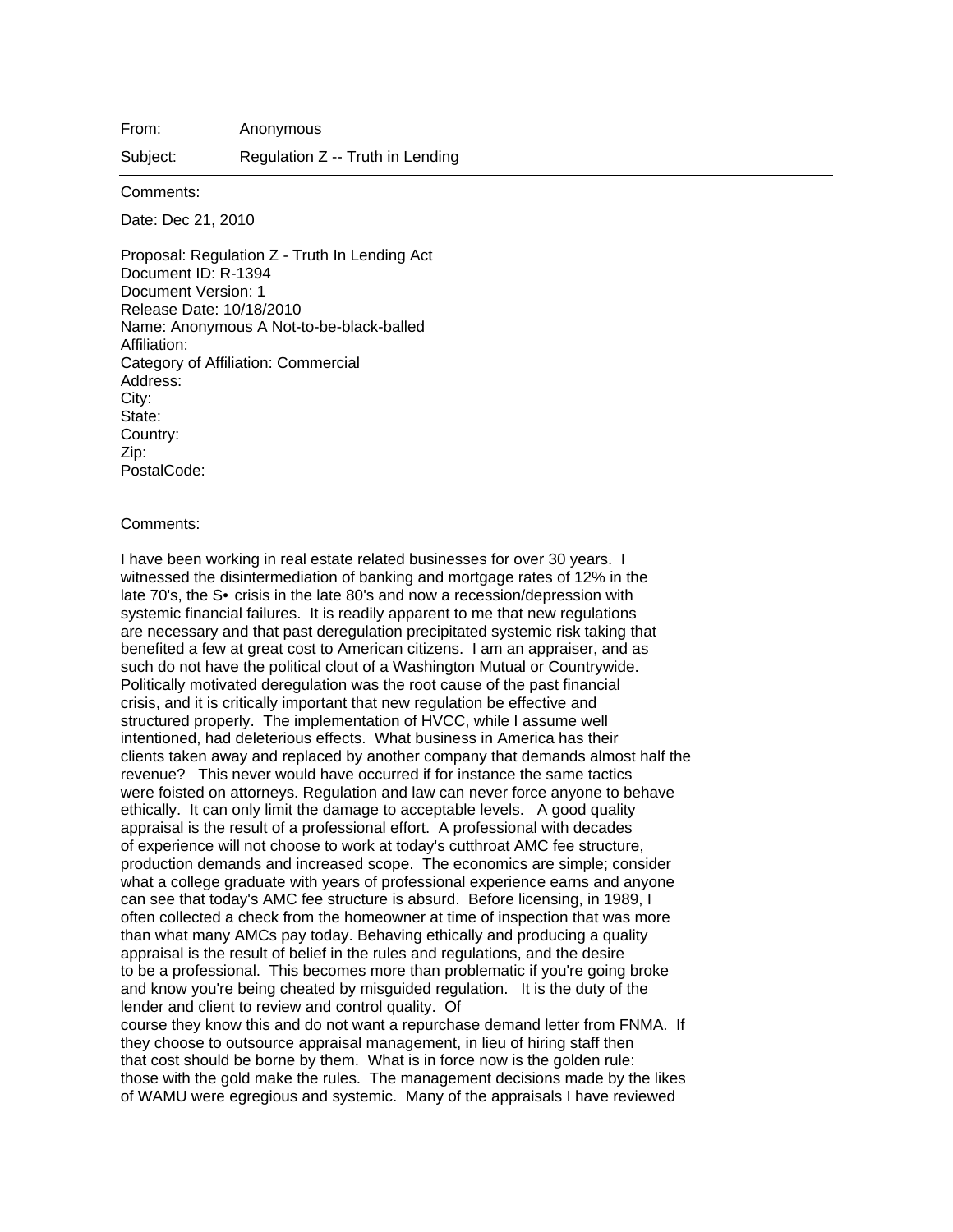From: Anonymous

Subject: Regulation Z -- Truth in Lending

Comments:

Date: Dec 21, 2010

Proposal: Regulation Z - Truth In Lending Act Document ID: R-1394 Document Version: 1 Release Date: 10/18/2010 Name: Anonymous A Not-to-be-black-balled Affiliation: Category of Affiliation: Commercial Address: City: State: Country: Zip: PostalCode:

## Comments:

I have been working in real estate related businesses for over 30 years. I witnessed the disintermediation of banking and mortgage rates of 12% in the late 70's, the S• crisis in the late 80's and now a recession/depression with systemic financial failures. It is readily apparent to me that new regulations are necessary and that past deregulation precipitated systemic risk taking that benefited a few at great cost to American citizens. I am an appraiser, and as such do not have the political clout of a Washington Mutual or Countrywide. Politically motivated deregulation was the root cause of the past financial crisis, and it is critically important that new regulation be effective and structured properly. The implementation of HVCC, while I assume well intentioned, had deleterious effects. What business in America has their clients taken away and replaced by another company that demands almost half the revenue? This never would have occurred if for instance the same tactics were foisted on attorneys. Regulation and law can never force anyone to behave ethically. It can only limit the damage to acceptable levels. A good quality appraisal is the result of a professional effort. A professional with decades of experience will not choose to work at today's cutthroat AMC fee structure, production demands and increased scope. The economics are simple; consider what a college graduate with years of professional experience earns and anyone can see that today's AMC fee structure is absurd. Before licensing, in 1989, I often collected a check from the homeowner at time of inspection that was more than what many AMCs pay today. Behaving ethically and producing a quality appraisal is the result of belief in the rules and regulations, and the desire to be a professional. This becomes more than problematic if you're going broke and know you're being cheated by misguided regulation. It is the duty of the lender and client to review and control quality. Of course they know this and do not want a repurchase demand letter from FNMA. If

they choose to outsource appraisal management, in lieu of hiring staff then that cost should be borne by them. What is in force now is the golden rule: those with the gold make the rules. The management decisions made by the likes of WAMU were egregious and systemic. Many of the appraisals I have reviewed